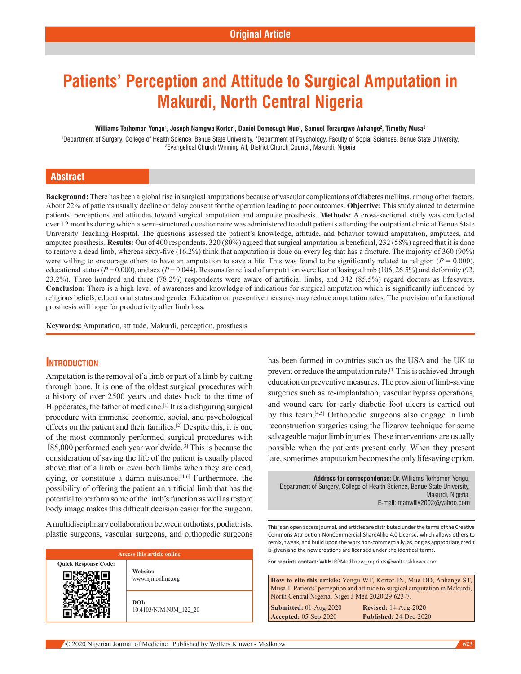# **Patients' Perception and Attitude to Surgical Amputation in Makurdi, North Central Nigeria**

#### **Williams Terhemen Yongu1 , Joseph Namgwa Kortor1 , Daniel Demesugh Mue1 , Samuel Terzungwe Anhange2 , Timothy Musa3**

Department of Surgery, College of Health Science, Benue State University, <sup>2</sup>Department of Psychology, Faculty of Social Sciences, Benue State University,<br><sup>3</sup>Evangelical Church Winning All District Church Council Makurdi N Evangelical Church Winning All, District Church Council, Makurdi, Nigeria

### **Abstract**

**Background:** There has been a global rise in surgical amputations because of vascular complications of diabetes mellitus, among other factors. About 22% of patients usually decline or delay consent for the operation leading to poor outcomes. **Objective:** This study aimed to determine patients' perceptions and attitudes toward surgical amputation and amputee prosthesis. **Methods:** A cross‑sectional study was conducted over 12 months during which a semi‑structured questionnaire was administered to adult patients attending the outpatient clinic at Benue State University Teaching Hospital. The questions assessed the patient's knowledge, attitude, and behavior toward amputation, amputees, and amputee prosthesis. **Results:** Out of 400 respondents, 320 (80%) agreed that surgical amputation is beneficial, 232 (58%) agreed that it is done to remove a dead limb, whereas sixty-five (16.2%) think that amputation is done on every leg that has a fracture. The majority of 360 (90%) were willing to encourage others to have an amputation to save a life. This was found to be significantly related to religion  $(P = 0.000)$ , educational status ( $P = 0.000$ ), and sex ( $P = 0.044$ ). Reasons for refusal of amputation were fear of losing a limb (106, 26.5%) and deformity (93, 23.2%). Three hundred and three (78.2%) respondents were aware of artificial limbs, and 342 (85.5%) regard doctors as lifesavers. **Conclusion:** There is a high level of awareness and knowledge of indications for surgical amputation which is significantly influenced by religious beliefs, educational status and gender. Education on preventive measures may reduce amputation rates. The provision of a functional prosthesis will hope for productivity after limb loss.

**Keywords:** Amputation, attitude, Makurdi, perception, prosthesis

#### **Introduction**

**Quick** 

Œ

Amputation is the removal of a limb or part of a limb by cutting through bone. It is one of the oldest surgical procedures with a history of over 2500 years and dates back to the time of Hippocrates, the father of medicine.<sup>[1]</sup> It is a disfiguring surgical procedure with immense economic, social, and psychological effects on the patient and their families.[2] Despite this, it is one of the most commonly performed surgical procedures with 185,000 performed each year worldwide.[3] This is because the consideration of saving the life of the patient is usually placed above that of a limb or even both limbs when they are dead, dying, or constitute a damn nuisance.<sup>[4-6]</sup> Furthermore, the possibility of offering the patient an artificial limb that has the potential to perform some of the limb's function as well as restore body image makes this difficult decision easier for the surgeon.

A multidisciplinary collaboration between orthotists, podiatrists, plastic surgeons, vascular surgeons, and orthopedic surgeons

| <b>Access this article online</b> |                                |  |  |
|-----------------------------------|--------------------------------|--|--|
| <b>Response Code:</b>             | Website:<br>www.njmonline.org  |  |  |
|                                   | DOI:<br>10.4103/NJM.NJM 122 20 |  |  |

has been formed in countries such as the USA and the UK to prevent or reduce the amputation rate.[4] This is achieved through education on preventive measures. The provision of limb-saving surgeries such as re-implantation, vascular bypass operations, and wound care for early diabetic foot ulcers is carried out by this team.[4,5] Orthopedic surgeons also engage in limb reconstruction surgeries using the Ilizarov technique for some salvageable major limb injuries. These interventions are usually possible when the patients present early. When they present late, sometimes amputation becomes the only lifesaving option.

**Address for correspondence:** Dr. Williams Terhemen Yongu, Department of Surgery, College of Health Science, Benue State University, Makurdi, Nigeria. E-mail: manwilly2002@yahoo.com

This is an open access journal, and articles are distributed under the terms of the Creative Commons Attribution‑NonCommercial‑ShareAlike 4.0 License, which allows others to remix, tweak, and build upon the work non‑commercially, as long as appropriate credit is given and the new creations are licensed under the identical terms.

**For reprints contact:** WKHLRPMedknow\_reprints@wolterskluwer.com

**How to cite this article:** Yongu WT, Kortor JN, Mue DD, Anhange ST, Musa T. Patients' perception and attitude to surgical amputation in Makurdi, North Central Nigeria. Niger J Med 2020;29:623-7.

**Submitted:** 01-Aug-2020 **Revised:** 14-Aug-2020 **Accepted:** 05-Sep-2020 **Published:** 24-Dec-2020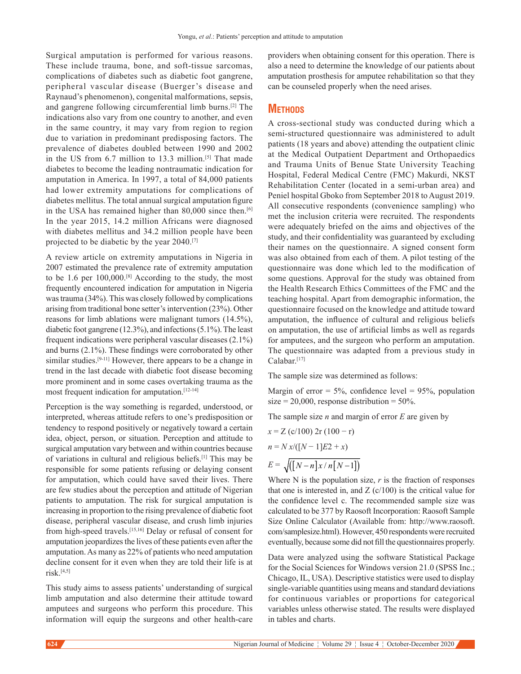Surgical amputation is performed for various reasons. These include trauma, bone, and soft-tissue sarcomas, complications of diabetes such as diabetic foot gangrene, peripheral vascular disease (Buerger's disease and Raynaud's phenomenon), congenital malformations, sepsis, and gangrene following circumferential limb burns.[2] The indications also vary from one country to another, and even in the same country, it may vary from region to region due to variation in predominant predisposing factors. The prevalence of diabetes doubled between 1990 and 2002 in the US from 6.7 million to 13.3 million.<sup>[5]</sup> That made diabetes to become the leading nontraumatic indication for amputation in America. In 1997, a total of 84,000 patients had lower extremity amputations for complications of diabetes mellitus. The total annual surgical amputation figure in the USA has remained higher than 80,000 since then.<sup>[6]</sup> In the year 2015, 14.2 million Africans were diagnosed with diabetes mellitus and 34.2 million people have been projected to be diabetic by the year 2040.[7]

A review article on extremity amputations in Nigeria in 2007 estimated the prevalence rate of extremity amputation to be 1.6 per 100,000.[8] According to the study, the most frequently encountered indication for amputation in Nigeria was trauma (34%). This was closely followed by complications arising from traditional bone setter's intervention (23%). Other reasons for limb ablations were malignant tumors (14.5%), diabetic foot gangrene (12.3%), and infections(5.1%). The least frequent indications were peripheral vascular diseases (2.1%) and burns (2.1%). These findings were corroborated by other similar studies.<sup>[9-11]</sup> However, there appears to be a change in trend in the last decade with diabetic foot disease becoming more prominent and in some cases overtaking trauma as the most frequent indication for amputation.<sup>[12-14]</sup>

Perception is the way something is regarded, understood, or interpreted, whereas attitude refers to one's predisposition or tendency to respond positively or negatively toward a certain idea, object, person, or situation. Perception and attitude to surgical amputation vary between and within countries because of variations in cultural and religious beliefs.[1] This may be responsible for some patients refusing or delaying consent for amputation, which could have saved their lives. There are few studies about the perception and attitude of Nigerian patients to amputation. The risk for surgical amputation is increasing in proportion to the rising prevalence of diabetic foot disease, peripheral vascular disease, and crush limb injuries from high-speed travels.<sup>[15,16]</sup> Delay or refusal of consent for amputation jeopardizes the lives of these patients even after the amputation. As many as 22% of patients who need amputation decline consent for it even when they are told their life is at risk.[4,5]

This study aims to assess patients' understanding of surgical limb amputation and also determine their attitude toward amputees and surgeons who perform this procedure. This information will equip the surgeons and other health-care providers when obtaining consent for this operation. There is also a need to determine the knowledge of our patients about amputation prosthesis for amputee rehabilitation so that they can be counseled properly when the need arises.

# **Methods**

A cross‑sectional study was conducted during which a semi‑structured questionnaire was administered to adult patients (18 years and above) attending the outpatient clinic at the Medical Outpatient Department and Orthopaedics and Trauma Units of Benue State University Teaching Hospital, Federal Medical Centre (FMC) Makurdi, NKST Rehabilitation Center (located in a semi-urban area) and Peniel hospital Gboko from September 2018 to August 2019. All consecutive respondents (convenience sampling) who met the inclusion criteria were recruited. The respondents were adequately briefed on the aims and objectives of the study, and their confidentiality was guaranteed by excluding their names on the questionnaire. A signed consent form was also obtained from each of them. A pilot testing of the questionnaire was done which led to the modification of some questions. Approval for the study was obtained from the Health Research Ethics Committees of the FMC and the teaching hospital. Apart from demographic information, the questionnaire focused on the knowledge and attitude toward amputation, the influence of cultural and religious beliefs on amputation, the use of artificial limbs as well as regards for amputees, and the surgeon who perform an amputation. The questionnaire was adapted from a previous study in Calabar.[17]

The sample size was determined as follows:

Margin of error =  $5\%$ , confidence level =  $95\%$ , population size = 20,000, response distribution =  $50\%$ .

The sample size *n* and margin of error *E* are given by

$$
x = Z (c/100) 2r (100 - r)
$$
  

$$
n = Nx/([N - 1]E2 + x)
$$
  

$$
E = \sqrt{([N - n]x/n[N - 1])}
$$

Where N is the population size, *r* is the fraction of responses that one is interested in, and  $Z$  (c/100) is the critical value for the confidence level c. The recommended sample size was calculated to be 377 by Raosoft Incorporation: Raosoft Sample Size Online Calculator (Available from: http://www.raosoft. com/samplesize.html). However, 450 respondents were recruited eventually, because some did not fill the questionnaires properly.

Data were analyzed using the software Statistical Package for the Social Sciences for Windows version 21.0 (SPSS Inc.; Chicago, IL, USA). Descriptive statistics were used to display single-variable quantities using means and standard deviations for continuous variables or proportions for categorical variables unless otherwise stated. The results were displayed in tables and charts.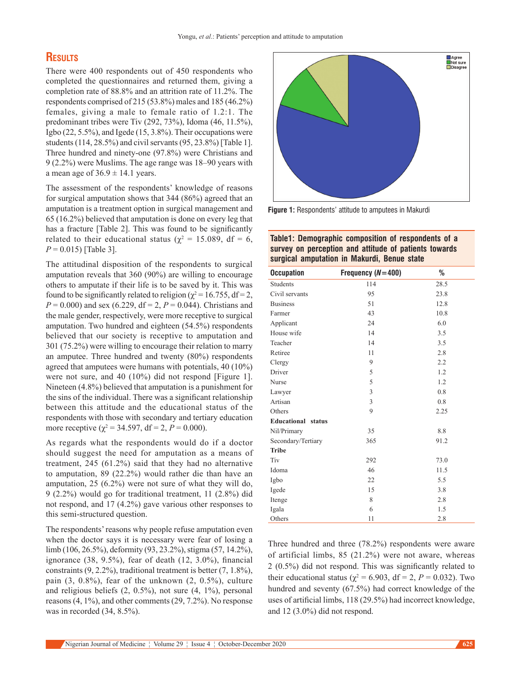# **Results**

There were 400 respondents out of 450 respondents who completed the questionnaires and returned them, giving a completion rate of 88.8% and an attrition rate of 11.2%. The respondents comprised of 215 (53.8%) males and 185 (46.2%) females, giving a male to female ratio of 1.2:1. The predominant tribes were Tiv (292, 73%), Idoma (46, 11.5%), Igbo (22, 5.5%), and Igede (15, 3.8%). Their occupations were students(114, 28.5%) and civil servants(95, 23.8%) [Table 1]. Three hundred and ninety-one (97.8%) were Christians and 9 (2.2%) were Muslims. The age range was 18–90 years with a mean age of  $36.9 \pm 14.1$  years.

The assessment of the respondents' knowledge of reasons for surgical amputation shows that 344 (86%) agreed that an amputation is a treatment option in surgical management and 65 (16.2%) believed that amputation is done on every leg that has a fracture [Table 2]. This was found to be significantly related to their educational status ( $\chi^2 = 15.089$ , df = 6, *P* = 0.015) [Table 3].

The attitudinal disposition of the respondents to surgical amputation reveals that 360 (90%) are willing to encourage others to amputate if their life is to be saved by it. This was found to be significantly related to religion ( $\chi^2$  = 16.755, df = 2, *P* = 0.000) and sex (6.229, df = 2, *P* = 0.044). Christians and the male gender, respectively, were more receptive to surgical amputation. Two hundred and eighteen (54.5%) respondents believed that our society is receptive to amputation and 301 (75.2%) were willing to encourage their relation to marry an amputee. Three hundred and twenty (80%) respondents agreed that amputees were humans with potentials, 40 (10%) were not sure, and 40 (10%) did not respond [Figure 1]. Nineteen (4.8%) believed that amputation is a punishment for the sins of the individual. There was a significant relationship between this attitude and the educational status of the respondents with those with secondary and tertiary education more receptive ( $\chi^2$  = 34.597, df = 2, P = 0.000).

As regards what the respondents would do if a doctor should suggest the need for amputation as a means of treatment, 245 (61.2%) said that they had no alternative to amputation, 89 (22.2%) would rather die than have an amputation, 25 (6.2%) were not sure of what they will do, 9 (2.2%) would go for traditional treatment, 11 (2.8%) did not respond, and 17 (4.2%) gave various other responses to this semi‑structured question.

The respondents' reasons why people refuse amputation even when the doctor says it is necessary were fear of losing a limb (106, 26.5%), deformity (93, 23.2%), stigma (57, 14.2%), ignorance (38, 9.5%), fear of death (12, 3.0%), financial constraints (9, 2.2%), traditional treatment is better (7, 1.8%), pain (3, 0.8%), fear of the unknown (2, 0.5%), culture and religious beliefs (2, 0.5%), not sure (4, 1%), personal reasons(4, 1%), and other comments(29, 7.2%). No response was in recorded (34, 8.5%).



**Figure 1:** Respondents' attitude to amputees in Makurdi

### **Table1: Demographic composition of respondents of a survey on perception and attitude of patients towards surgical amputation in Makurdi, Benue state**

| <b>Occupation</b>         | Frequency $(N=400)$ | %    |
|---------------------------|---------------------|------|
| Students                  | 114                 | 28.5 |
| Civil servants            | 95                  | 23.8 |
| <b>Business</b>           | 51                  | 12.8 |
| Farmer                    | 43                  | 10.8 |
| Applicant                 | 24                  | 6.0  |
| House wife                | 14                  | 3.5  |
| Teacher                   | 14                  | 3.5  |
| Retiree                   | 11                  | 2.8  |
| Clergy                    | 9                   | 2.2  |
| Driver                    | 5                   | 1.2  |
| Nurse                     | 5                   | 1.2  |
| Lawyer                    | 3                   | 0.8  |
| Artisan                   | 3                   | 0.8  |
| Others                    | 9                   | 2.25 |
| <b>Educational</b> status |                     |      |
| Nil/Primary               | 35                  | 8.8  |
| Secondary/Tertiary        | 365                 | 91.2 |
| <b>Tribe</b>              |                     |      |
| Tiv                       | 292                 | 73.0 |
| Idoma                     | 46                  | 11.5 |
| Igbo                      | 22                  | 5.5  |
| Igede                     | 15                  | 3.8  |
| Itenge                    | 8                   | 2.8  |
| Igala                     | 6                   | 1.5  |
| Others                    | 11                  | 2.8  |

Three hundred and three (78.2%) respondents were aware of artificial limbs, 85 (21.2%) were not aware, whereas 2 (0.5%) did not respond. This was significantly related to their educational status ( $\chi^2$  = 6.903, df = 2, P = 0.032). Two hundred and seventy (67.5%) had correct knowledge of the uses of artificial limbs, 118 (29.5%) had incorrect knowledge, and 12 (3.0%) did not respond.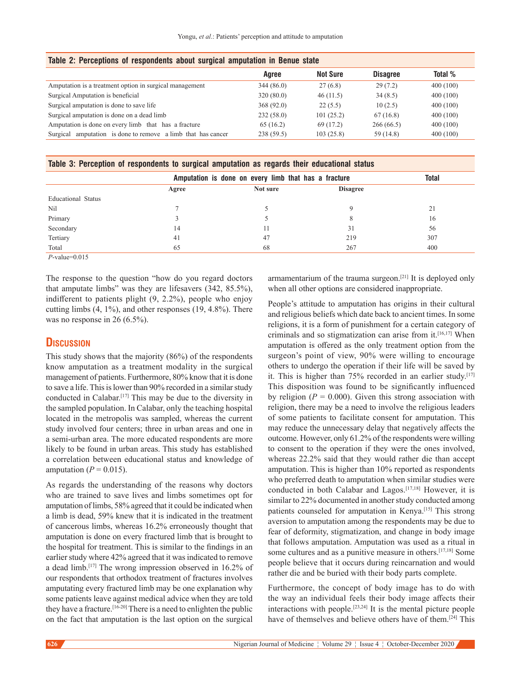| Table 2: Perceptions of respondents about surgical amputation in Benue state |           |                 |                 |          |  |
|------------------------------------------------------------------------------|-----------|-----------------|-----------------|----------|--|
|                                                                              | Agree     | <b>Not Sure</b> | <b>Disagree</b> | Total %  |  |
| Amputation is a treatment option in surgical management                      | 344(86.0) | 27(6.8)         | 29(7.2)         | 400(100) |  |
| Surgical Amputation is beneficial                                            | 320(80.0) | 46(11.5)        | 34(8.5)         | 400(100) |  |
| Surgical amputation is done to save life                                     | 368(92.0) | 22(5.5)         | 10(2.5)         | 400(100) |  |
| Surgical amputation is done on a dead limb                                   | 232(58.0) | 101(25.2)       | 67(16.8)        | 400(100) |  |
| Amputation is done on every limb that has a fracture                         | 65(16.2)  | 69 (17.2)       | 266(66.5)       | 400(100) |  |
| Surgical amputation is done to remove a limb that has cancer                 | 238(59.5) | 103(25.8)       | 59 (14.8)       | 400(100) |  |

|  |  | Table 3: Perception of respondents to surgical amputation as regards their educational status |
|--|--|-----------------------------------------------------------------------------------------------|
|  |  |                                                                                               |

|                    | Amputation is done on every limb that has a fracture |          |                 | <b>Total</b> |
|--------------------|------------------------------------------------------|----------|-----------------|--------------|
|                    | Agree                                                | Not sure | <b>Disagree</b> |              |
| Educational Status |                                                      |          |                 |              |
| Nil                |                                                      |          |                 | 21           |
| Primary            |                                                      |          |                 | 16           |
| Secondary          | 14                                                   |          | 31              | 56           |
| Tertiary           | 41                                                   | 47       | 219             | 307          |
| Total              | 65                                                   | 68       | 267             | 400          |

*P*-value=0.015

The response to the question "how do you regard doctors that amputate limbs" was they are lifesavers (342, 85.5%), indifferent to patients plight (9, 2.2%), people who enjoy cutting limbs (4, 1%), and other responses (19, 4.8%). There was no response in 26 (6.5%).

### **Discussion**

This study shows that the majority (86%) of the respondents know amputation as a treatment modality in the surgical management of patients. Furthermore, 80% know that it is done to save a life. This is lower than 90% recorded in a similar study conducted in Calabar.[17] This may be due to the diversity in the sampled population. In Calabar, only the teaching hospital located in the metropolis was sampled, whereas the current study involved four centers; three in urban areas and one in a semi‑urban area. The more educated respondents are more likely to be found in urban areas. This study has established a correlation between educational status and knowledge of amputation ( $P = 0.015$ ).

As regards the understanding of the reasons why doctors who are trained to save lives and limbs sometimes opt for amputation of limbs, 58% agreed that it could be indicated when a limb is dead, 59% knew that it is indicated in the treatment of cancerous limbs, whereas 16.2% erroneously thought that amputation is done on every fractured limb that is brought to the hospital for treatment. This is similar to the findings in an earlier study where 42% agreed that it was indicated to remove a dead limb.[17] The wrong impression observed in 16.2% of our respondents that orthodox treatment of fractures involves amputating every fractured limb may be one explanation why some patients leave against medical advice when they are told they have a fracture.[16-20] There is a need to enlighten the public on the fact that amputation is the last option on the surgical

armamentarium of the trauma surgeon.[21] It is deployed only when all other options are considered inappropriate.

People's attitude to amputation has origins in their cultural and religious beliefs which date back to ancient times. In some religions, it is a form of punishment for a certain category of criminals and so stigmatization can arise from it.[16,17] When amputation is offered as the only treatment option from the surgeon's point of view, 90% were willing to encourage others to undergo the operation if their life will be saved by it. This is higher than  $75\%$  recorded in an earlier study.<sup>[17]</sup> This disposition was found to be significantly influenced by religion  $(P = 0.000)$ . Given this strong association with religion, there may be a need to involve the religious leaders of some patients to facilitate consent for amputation. This may reduce the unnecessary delay that negatively affects the outcome. However, only 61.2% of the respondents were willing to consent to the operation if they were the ones involved, whereas 22.2% said that they would rather die than accept amputation. This is higher than 10% reported as respondents who preferred death to amputation when similar studies were conducted in both Calabar and Lagos.[17,18] However, it is similar to 22% documented in another study conducted among patients counseled for amputation in Kenya.<sup>[15]</sup> This strong aversion to amputation among the respondents may be due to fear of deformity, stigmatization, and change in body image that follows amputation. Amputation was used as a ritual in some cultures and as a punitive measure in others.[17,18] Some people believe that it occurs during reincarnation and would rather die and be buried with their body parts complete.

Furthermore, the concept of body image has to do with the way an individual feels their body image affects their interactions with people.[23,24] It is the mental picture people have of themselves and believe others have of them.[24] This